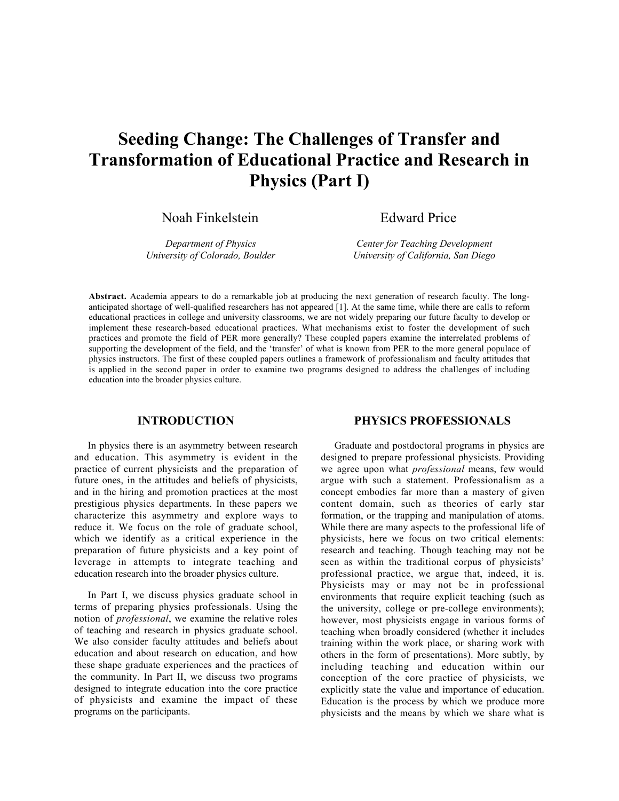# Seeding Change: The Challenges of Transfer and Transformation of Educational Practice and Research in Physics (Part I)

Noah Finkelstein Edward Price

*Department of Physics Center for Teaching Development University of Colorado, Boulder University of California, San Diego*

Abstract. Academia appears to do a remarkable job at producing the next generation of research faculty. The longanticipated shortage of well-qualified researchers has not appeared [1]. At the same time, while there are calls to reform educational practices in college and university classrooms, we are not widely preparing our future faculty to develop or implement these research-based educational practices. What mechanisms exist to foster the development of such practices and promote the field of PER more generally? These coupled papers examine the interrelated problems of supporting the development of the field, and the 'transfer' of what is known from PER to the more general populace of physics instructors. The first of these coupled papers outlines a framework of professionalism and faculty attitudes that is applied in the second paper in order to examine two programs designed to address the challenges of including education into the broader physics culture.

## INTRODUCTION

In physics there is an asymmetry between research and education. This asymmetry is evident in the practice of current physicists and the preparation of future ones, in the attitudes and beliefs of physicists, and in the hiring and promotion practices at the most prestigious physics departments. In these papers we characterize this asymmetry and explore ways to reduce it. We focus on the role of graduate school, which we identify as a critical experience in the preparation of future physicists and a key point of leverage in attempts to integrate teaching and education research into the broader physics culture.

In Part I, we discuss physics graduate school in terms of preparing physics professionals. Using the notion of *professional*, we examine the relative roles of teaching and research in physics graduate school. We also consider faculty attitudes and beliefs about education and about research on education, and how these shape graduate experiences and the practices of the community. In Part II, we discuss two programs designed to integrate education into the core practice of physicists and examine the impact of these programs on the participants.

## PHYSICS PROFESSIONALS

Graduate and postdoctoral programs in physics are designed to prepare professional physicists. Providing we agree upon what *professional* means, few would argue with such a statement. Professionalism as a concept embodies far more than a mastery of given content domain, such as theories of early star formation, or the trapping and manipulation of atoms. While there are many aspects to the professional life of physicists, here we focus on two critical elements: research and teaching. Though teaching may not be seen as within the traditional corpus of physicists' professional practice, we argue that, indeed, it is. Physicists may or may not be in professional environments that require explicit teaching (such as the university, college or pre-college environments); however, most physicists engage in various forms of teaching when broadly considered (whether it includes training within the work place, or sharing work with others in the form of presentations). More subtly, by including teaching and education within our conception of the core practice of physicists, we explicitly state the value and importance of education. Education is the process by which we produce more physicists and the means by which we share what is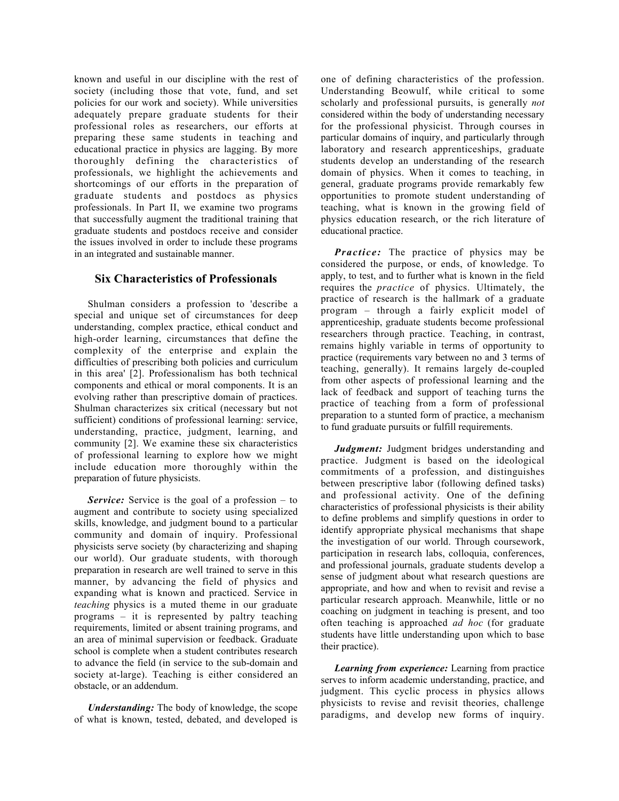known and useful in our discipline with the rest of society (including those that vote, fund, and set policies for our work and society). While universities adequately prepare graduate students for their professional roles as researchers, our efforts at preparing these same students in teaching and educational practice in physics are lagging. By more thoroughly defining the characteristics of professionals, we highlight the achievements and shortcomings of our efforts in the preparation of graduate students and postdocs as physics professionals. In Part II, we examine two programs that successfully augment the traditional training that graduate students and postdocs receive and consider the issues involved in order to include these programs in an integrated and sustainable manner.

## Six Characteristics of Professionals

Shulman considers a profession to 'describe a special and unique set of circumstances for deep understanding, complex practice, ethical conduct and high-order learning, circumstances that define the complexity of the enterprise and explain the difficulties of prescribing both policies and curriculum in this area' [2]. Professionalism has both technical components and ethical or moral components. It is an evolving rather than prescriptive domain of practices. Shulman characterizes six critical (necessary but not sufficient) conditions of professional learning: service, understanding, practice, judgment, learning, and community [2]. We examine these six characteristics of professional learning to explore how we might include education more thoroughly within the preparation of future physicists.

**Service:** Service is the goal of a profession – to augment and contribute to society using specialized skills, knowledge, and judgment bound to a particular community and domain of inquiry. Professional physicists serve society (by characterizing and shaping our world). Our graduate students, with thorough preparation in research are well trained to serve in this manner, by advancing the field of physics and expanding what is known and practiced. Service in *teaching* physics is a muted theme in our graduate programs – it is represented by paltry teaching requirements, limited or absent training programs, and an area of minimal supervision or feedback. Graduate school is complete when a student contributes research to advance the field (in service to the sub-domain and society at-large). Teaching is either considered an obstacle, or an addendum.

*Understanding:* The body of knowledge, the scope of what is known, tested, debated, and developed is one of defining characteristics of the profession. Understanding Beowulf, while critical to some scholarly and professional pursuits, is generally *not* considered within the body of understanding necessary for the professional physicist. Through courses in particular domains of inquiry, and particularly through laboratory and research apprenticeships, graduate students develop an understanding of the research domain of physics. When it comes to teaching, in general, graduate programs provide remarkably few opportunities to promote student understanding of teaching, what is known in the growing field of physics education research, or the rich literature of educational practice.

*Practice:* The practice of physics may be considered the purpose, or ends, of knowledge. To apply, to test, and to further what is known in the field requires the *practice* of physics. Ultimately, the practice of research is the hallmark of a graduate program – through a fairly explicit model of apprenticeship, graduate students become professional researchers through practice. Teaching, in contrast, remains highly variable in terms of opportunity to practice (requirements vary between no and 3 terms of teaching, generally). It remains largely de-coupled from other aspects of professional learning and the lack of feedback and support of teaching turns the practice of teaching from a form of professional preparation to a stunted form of practice, a mechanism to fund graduate pursuits or fulfill requirements.

*Judgment:* Judgment bridges understanding and practice. Judgment is based on the ideological commitments of a profession, and distinguishes between prescriptive labor (following defined tasks) and professional activity. One of the defining characteristics of professional physicists is their ability to define problems and simplify questions in order to identify appropriate physical mechanisms that shape the investigation of our world. Through coursework, participation in research labs, colloquia, conferences, and professional journals, graduate students develop a sense of judgment about what research questions are appropriate, and how and when to revisit and revise a particular research approach. Meanwhile, little or no coaching on judgment in teaching is present, and too often teaching is approached *ad hoc* (for graduate students have little understanding upon which to base their practice).

*Learning from experience:* Learning from practice serves to inform academic understanding, practice, and judgment. This cyclic process in physics allows physicists to revise and revisit theories, challenge paradigms, and develop new forms of inquiry.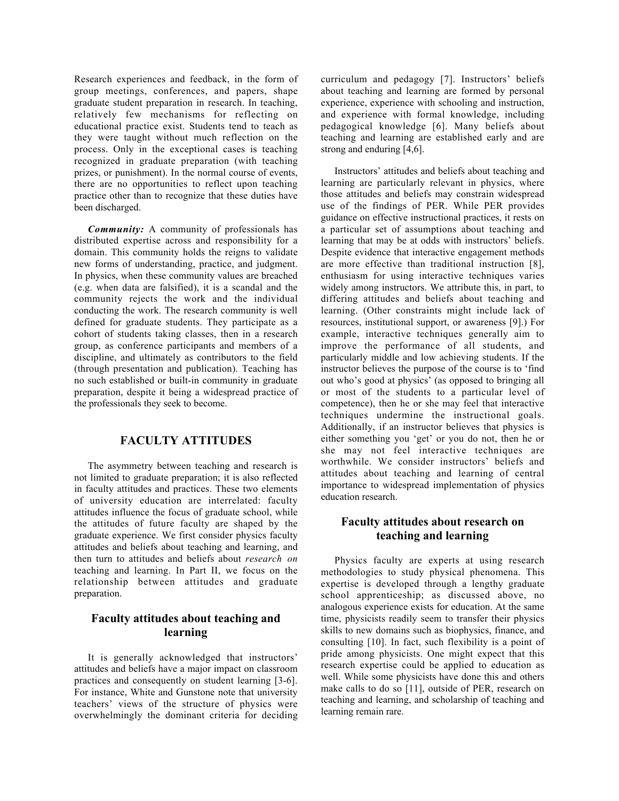Research experiences and feedback, in the form of group meetings, conferences, and papers, shape graduate student preparation in research. In teaching, relatively few mechanisms for reflecting on educational practice exist. Students tend to teach as they were taught without much reflection on the process. Only in the exceptional cases is teaching recognized in graduate preparation (with teaching prizes, or punishment). In the normal course of events, there are no opportunities to reflect upon teaching practice other than to recognize that these duties have been discharged.

*Community:* A community of professionals has distributed expertise across and responsibility for a domain. This community holds the reigns to validate new forms of understanding, practice, and judgment. In physics, when these community values are breached (e.g. when data are falsified), it is a scandal and the community rejects the work and the individual conducting the work. The research community is well defined for graduate students. They participate as a cohort of students taking classes, then in a research group, as conference participants and members of a discipline, and ultimately as contributors to the field (through presentation and publication). Teaching has no such established or built-in community in graduate preparation, despite it being a widespread practice of the professionals they seek to become.

# FACULTY ATTITUDES

The asymmetry between teaching and research is not limited to graduate preparation; it is also reflected in faculty attitudes and practices. These two elements of university education are interrelated: faculty attitudes influence the focus of graduate school, while the attitudes of future faculty are shaped by the graduate experience. We first consider physics faculty attitudes and beliefs about teaching and learning, and then turn to attitudes and beliefs about *research on* teaching and learning. In Part II, we focus on the relationship between attitudes and graduate preparation.

# Faculty attitudes about teaching and learning

It is generally acknowledged that instructors' attitudes and beliefs have a major impact on classroom practices and consequently on student learning [3-6]. For instance, White and Gunstone note that university teachers' views of the structure of physics were overwhelmingly the dominant criteria for deciding curriculum and pedagogy [7]. Instructors' beliefs about teaching and learning are formed by personal experience, experience with schooling and instruction, and experience with formal knowledge, including pedagogical knowledge [6]. Many beliefs about teaching and learning are established early and are strong and enduring [4,6].

Instructors' attitudes and beliefs about teaching and learning are particularly relevant in physics, where those attitudes and beliefs may constrain widespread use of the findings of PER. While PER provides guidance on effective instructional practices, it rests on a particular set of assumptions about teaching and learning that may be at odds with instructors' beliefs. Despite evidence that interactive engagement methods are more effective than traditional instruction [8], enthusiasm for using interactive techniques varies widely among instructors. We attribute this, in part, to differing attitudes and beliefs about teaching and learning. (Other constraints might include lack of resources, institutional support, or awareness [9].) For example, interactive techniques generally aim to improve the performance of all students, and particularly middle and low achieving students. If the instructor believes the purpose of the course is to 'find out who's good at physics' (as opposed to bringing all or most of the students to a particular level of competence), then he or she may feel that interactive techniques undermine the instructional goals. Additionally, if an instructor believes that physics is either something you 'get' or you do not, then he or she may not feel interactive techniques are worthwhile. We consider instructors' beliefs and attitudes about teaching and learning of central importance to widespread implementation of physics education research.

## Faculty attitudes about research on teaching and learning

Physics faculty are experts at using research methodologies to study physical phenomena. This expertise is developed through a lengthy graduate school apprenticeship; as discussed above, no analogous experience exists for education. At the same time, physicists readily seem to transfer their physics skills to new domains such as biophysics, finance, and consulting [10]. In fact, such flexibility is a point of pride among physicists. One might expect that this research expertise could be applied to education as well. While some physicists have done this and others make calls to do so [11], outside of PER, research on teaching and learning, and scholarship of teaching and learning remain rare.